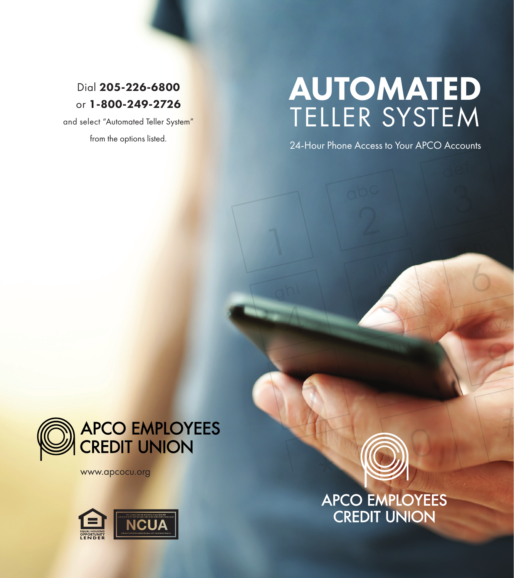# Dial 205-226-6800 or 1-800-249-2726

and select "Automated Teller System" from the options listed.

# AUTOMATED TELLER SYSTEM

24-Hour Phone Access to Your APCO Accounts



www.apcocu.org



APCO EMPLOYEES<br>CREDIT UNION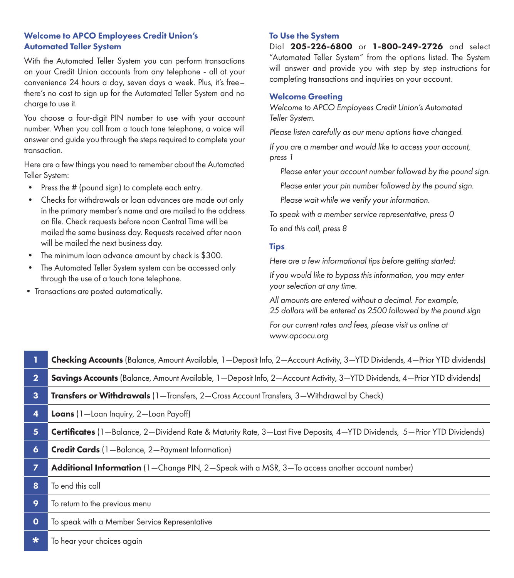## Welcome to APCO Employees Credit Union's Automated Teller System

With the Automated Teller System you can perform transactions on your Credit Union accounts from any telephone - all at your convenience 24 hours a day, seven days a week. Plus, it's free– there's no cost to sign up for the Automated Teller System and no charge to use it.

You choose a four-digit PIN number to use with your account number. When you call from a touch tone telephone, a voice will answer and guide you through the steps required to complete your transaction.

Here are a few things you need to remember about the Automated Teller System:

- Press the # (pound sign) to complete each entry.
- Checks for withdrawals or loan advances are made out only in the primary member's name and are mailed to the address on file. Check requests before noon Central Time will be mailed the same business day. Requests received after noon will be mailed the next business day.
- The minimum loan advance amount by check is \$300.
- The Automated Teller System system can be accessed only through the use of a touch tone telephone.
- Transactions are posted automatically.

### To Use the System

Dial 205-226-6800 or 1-800-249-2726 and select "Automated Teller System" from the options listed. The System will answer and provide you with step by step instructions for completing transactions and inquiries on your account.

#### Welcome Greeting

*Welcome to APCO Employees Credit Union's Automated Teller System.* 

*Please listen carefully as our menu options have changed.*

*If you are a member and would like to access your account, press 1*

 *Please enter your account number followed by the pound sign.* 

 *Please enter your pin number followed by the pound sign.*

 *Please wait while we verify your information.* 

*To speak with a member service representative, press 0*

*To end this call, press 8*

#### Tips

*Here are a few informational tips before getting started:*

*If you would like to bypass this information, you may enter your selection at any time.* 

*All amounts are entered without a decimal. For example, 25 dollars will be entered as 2500 followed by the pound sign*

*For our current rates and fees, please visit us online at www.apcocu.org*

|                | <b>Checking Accounts</b> (Balance, Amount Available, 1—Deposit Info, 2—Account Activity, 3—YTD Dividends, 4—Prior YTD dividends) |  |  |  |
|----------------|----------------------------------------------------------------------------------------------------------------------------------|--|--|--|
| $\overline{2}$ | <b>Savings Accounts</b> (Balance, Amount Available, 1—Deposit Info, 2—Account Activity, 3—YTD Dividends, 4—Prior YTD dividends)  |  |  |  |
| 3              | <b>Transfers or Withdrawals</b> (1—Transfers, 2—Cross Account Transfers, 3—Withdrawal by Check)                                  |  |  |  |
| 4              | Loans (1-Loan Inquiry, 2-Loan Payoff)                                                                                            |  |  |  |
| 5              | Certificates (1-Balance, 2-Dividend Rate & Maturity Rate, 3-Last Five Deposits, 4-YTD Dividends, 5-Prior YTD Dividends)          |  |  |  |
| 6              | <b>Credit Cards</b> (1-Balance, 2-Payment Information)                                                                           |  |  |  |
| 7              | Additional Information (1-Change PIN, 2-Speak with a MSR, 3-To access another account number)                                    |  |  |  |
| 8              | To end this call                                                                                                                 |  |  |  |
| 9              | To return to the previous menu                                                                                                   |  |  |  |
| $\mathbf 0$    | To speak with a Member Service Representative                                                                                    |  |  |  |
| ∗              | To hear your choices again                                                                                                       |  |  |  |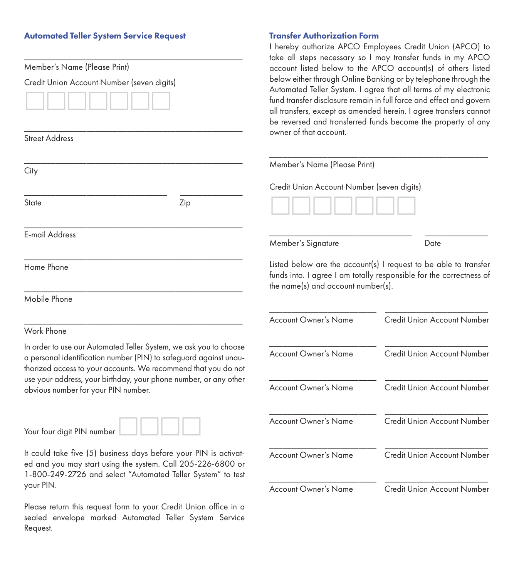# Automated Teller System Service Request

| Member's Name (Please Print)<br>Credit Union Account Number (seven digits)                                                                                                                               | take all steps necessary so I may transfer funds in my APCO<br>account listed below to the APCO account(s) of others listed<br>below either through Online Banking or by telephone through the<br>Automated Teller System. I agree that all terms of my electronic<br>fund transfer disclosure remain in full force and effect and govern<br>all transfers, except as amended herein. I agree transfers cannot<br>be reversed and transferred funds become the property of any<br>owner of that account. |                                            |  |
|----------------------------------------------------------------------------------------------------------------------------------------------------------------------------------------------------------|----------------------------------------------------------------------------------------------------------------------------------------------------------------------------------------------------------------------------------------------------------------------------------------------------------------------------------------------------------------------------------------------------------------------------------------------------------------------------------------------------------|--------------------------------------------|--|
| <b>Street Address</b>                                                                                                                                                                                    |                                                                                                                                                                                                                                                                                                                                                                                                                                                                                                          |                                            |  |
| City                                                                                                                                                                                                     | Member's Name (Please Print)                                                                                                                                                                                                                                                                                                                                                                                                                                                                             |                                            |  |
|                                                                                                                                                                                                          |                                                                                                                                                                                                                                                                                                                                                                                                                                                                                                          | Credit Union Account Number (seven digits) |  |
| State<br>Zip                                                                                                                                                                                             |                                                                                                                                                                                                                                                                                                                                                                                                                                                                                                          |                                            |  |
| <b>E-mail Address</b>                                                                                                                                                                                    | Member's Signature                                                                                                                                                                                                                                                                                                                                                                                                                                                                                       | Date                                       |  |
| Home Phone                                                                                                                                                                                               | Listed below are the account(s) I request to be able to transfer<br>funds into. I agree I am totally responsible for the correctness of<br>the name(s) and account number(s).                                                                                                                                                                                                                                                                                                                            |                                            |  |
| Mobile Phone                                                                                                                                                                                             |                                                                                                                                                                                                                                                                                                                                                                                                                                                                                                          |                                            |  |
|                                                                                                                                                                                                          | <b>Account Owner's Name</b>                                                                                                                                                                                                                                                                                                                                                                                                                                                                              | Credit Union Account Number                |  |
| Work Phone                                                                                                                                                                                               |                                                                                                                                                                                                                                                                                                                                                                                                                                                                                                          |                                            |  |
| In order to use our Automated Teller System, we ask you to choose<br>a personal identification number (PIN) to safeguard against unau-<br>thorized access to your accounts. We recommend that you do not | <b>Account Owner's Name</b>                                                                                                                                                                                                                                                                                                                                                                                                                                                                              | Credit Union Account Number                |  |
| use your address, your birthday, your phone number, or any other<br>obvious number for your PIN number.                                                                                                  | <b>Account Owner's Name</b>                                                                                                                                                                                                                                                                                                                                                                                                                                                                              | Credit Union Account Number                |  |
| Your four digit PIN number                                                                                                                                                                               | <b>Account Owner's Name</b>                                                                                                                                                                                                                                                                                                                                                                                                                                                                              | Credit Union Account Number                |  |
| It could take five (5) business days before your PIN is activat-<br>ed and you may start using the system. Call 205-226-6800 or<br>1-800-249-2726 and select "Automated Teller System" to test           | <b>Account Owner's Name</b>                                                                                                                                                                                                                                                                                                                                                                                                                                                                              | Credit Union Account Number                |  |
| your PIN.                                                                                                                                                                                                | <b>Account Owner's Name</b>                                                                                                                                                                                                                                                                                                                                                                                                                                                                              | <b>Credit Union Account Number</b>         |  |

Please return this request form to your Credit Union office in a sealed envelope marked Automated Teller System Service Request.

# Transfer Authorization Form I hereby authorize APCO Employees Credit Union (APCO) to